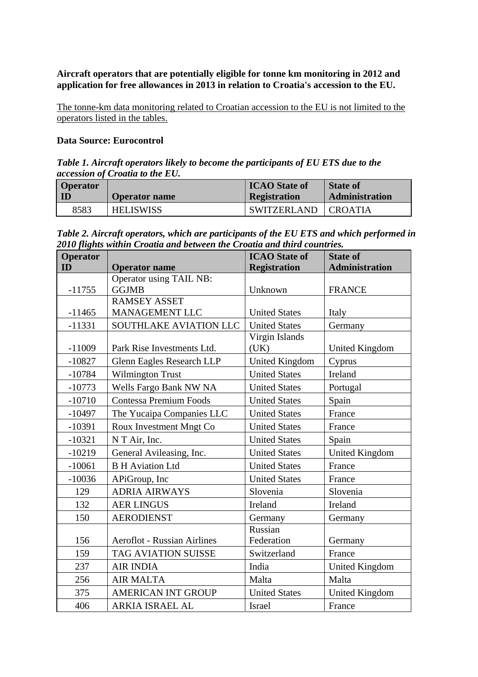**Aircraft operators that are potentially eligible for tonne km monitoring in 2012 and application for free allowances in 2013 in relation to Croatia's accession to the EU.** 

The tonne-km data monitoring related to Croatian accession to the EU is not limited to the operators listed in the tables.

## **Data Source: Eurocontrol**

*Table 1. Aircraft operators likely to become the participants of EU ETS due to the accession of Croatia to the EU.* 

| <b>Operator</b> | <b>Operator name</b> | <b>ICAO</b> State of<br><b>Registration</b> | <b>State of</b><br><b>Administration</b> |
|-----------------|----------------------|---------------------------------------------|------------------------------------------|
| 8583            | <b>HELISWISS</b>     | SWITZERLAND                                 | LCROATIA                                 |

*Table 2. Aircraft operators, which are participants of the EU ETS and which performed in 2010 flights within Croatia and between the Croatia and third countries.*

| Operator |                                    | <b>ICAO</b> State of  | <b>State of</b>       |
|----------|------------------------------------|-----------------------|-----------------------|
| ID       | <b>Operator</b> name               | <b>Registration</b>   | <b>Administration</b> |
|          | <b>Operator using TAIL NB:</b>     |                       |                       |
| $-11755$ | <b>GGJMB</b>                       | Unknown               | <b>FRANCE</b>         |
|          | <b>RAMSEY ASSET</b>                |                       |                       |
| $-11465$ | MANAGEMENT LLC                     | <b>United States</b>  | Italy                 |
| $-11331$ | SOUTHLAKE AVIATION LLC             | <b>United States</b>  | Germany               |
|          |                                    | Virgin Islands        |                       |
| $-11009$ | Park Rise Investments Ltd.         | (UK)                  | <b>United Kingdom</b> |
| $-10827$ | Glenn Eagles Research LLP          | <b>United Kingdom</b> | Cyprus                |
| $-10784$ | <b>Wilmington Trust</b>            | <b>United States</b>  | Ireland               |
| $-10773$ | Wells Fargo Bank NW NA             | <b>United States</b>  | Portugal              |
| $-10710$ | <b>Contessa Premium Foods</b>      | <b>United States</b>  | Spain                 |
| $-10497$ | The Yucaipa Companies LLC          | <b>United States</b>  | France                |
| $-10391$ | Roux Investment Mngt Co            | <b>United States</b>  | France                |
| $-10321$ | N T Air, Inc.                      | <b>United States</b>  | Spain                 |
| $-10219$ | General Avileasing, Inc.           | <b>United States</b>  | <b>United Kingdom</b> |
| $-10061$ | <b>B H Aviation Ltd</b>            | <b>United States</b>  | France                |
| $-10036$ | APiGroup, Inc                      | <b>United States</b>  | France                |
| 129      | <b>ADRIA AIRWAYS</b>               | Slovenia              | Slovenia              |
| 132      | <b>AER LINGUS</b>                  | Ireland               | Ireland               |
| 150      | <b>AERODIENST</b>                  | Germany               | Germany               |
|          |                                    | Russian               |                       |
| 156      | <b>Aeroflot - Russian Airlines</b> | Federation            | Germany               |
| 159      | <b>TAG AVIATION SUISSE</b>         | Switzerland           | France                |
| 237      | <b>AIR INDIA</b>                   | India                 | <b>United Kingdom</b> |
| 256      | <b>AIR MALTA</b>                   | Malta                 | Malta                 |
| 375      | <b>AMERICAN INT GROUP</b>          | <b>United States</b>  | <b>United Kingdom</b> |
| 406      | <b>ARKIA ISRAEL AL</b>             | <b>Israel</b>         | France                |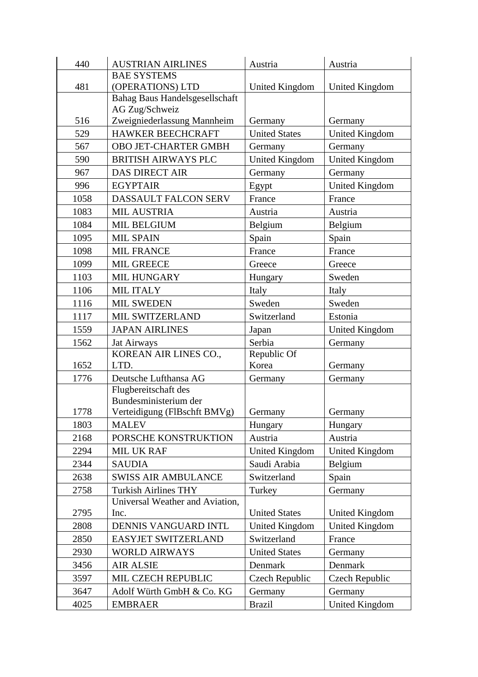| 440  | <b>AUSTRIAN AIRLINES</b>                      | Austria                          | Austria               |
|------|-----------------------------------------------|----------------------------------|-----------------------|
|      | <b>BAE SYSTEMS</b>                            |                                  |                       |
| 481  | (OPERATIONS) LTD                              | United Kingdom                   | United Kingdom        |
|      | Bahag Baus Handelsgesellschaft                |                                  |                       |
| 516  | AG Zug/Schweiz<br>Zweigniederlassung Mannheim | Germany                          | Germany               |
| 529  | HAWKER BEECHCRAFT                             | <b>United States</b>             | <b>United Kingdom</b> |
| 567  | OBO JET-CHARTER GMBH                          |                                  | Germany               |
| 590  | <b>BRITISH AIRWAYS PLC</b>                    | Germany<br><b>United Kingdom</b> | <b>United Kingdom</b> |
| 967  |                                               |                                  |                       |
|      | <b>DAS DIRECT AIR</b>                         | Germany                          | Germany               |
| 996  | <b>EGYPTAIR</b>                               | Egypt                            | <b>United Kingdom</b> |
| 1058 | DASSAULT FALCON SERV                          | France                           | France                |
| 1083 | <b>MIL AUSTRIA</b>                            | Austria                          | Austria               |
| 1084 | <b>MIL BELGIUM</b>                            | Belgium                          | Belgium               |
| 1095 | <b>MIL SPAIN</b>                              | Spain                            | Spain                 |
| 1098 | <b>MIL FRANCE</b>                             | France                           | France                |
| 1099 | <b>MIL GREECE</b>                             | Greece                           | Greece                |
| 1103 | MIL HUNGARY                                   | Hungary                          | Sweden                |
| 1106 | MIL ITALY                                     | Italy                            | Italy                 |
| 1116 | <b>MIL SWEDEN</b>                             | Sweden                           | Sweden                |
| 1117 | MIL SWITZERLAND                               | Switzerland                      | Estonia               |
| 1559 | <b>JAPAN AIRLINES</b>                         | Japan                            | <b>United Kingdom</b> |
| 1562 | Jat Airways                                   | Serbia                           | Germany               |
|      | KOREAN AIR LINES CO.,                         | Republic Of                      |                       |
| 1652 | LTD.                                          | Korea                            | Germany               |
| 1776 | Deutsche Lufthansa AG                         | Germany                          | Germany               |
|      | Flugbereitschaft des<br>Bundesministerium der |                                  |                       |
| 1778 | Verteidigung (FlBschft BMVg)                  | Germany                          | Germany               |
| 1803 | <b>MALEV</b>                                  | Hungary                          | Hungary               |
| 2168 | PORSCHE KONSTRUKTION                          | Austria                          | Austria               |
| 2294 | <b>MIL UK RAF</b>                             | <b>United Kingdom</b>            | <b>United Kingdom</b> |
| 2344 | <b>SAUDIA</b>                                 | Saudi Arabia                     | Belgium               |
| 2638 | <b>SWISS AIR AMBULANCE</b>                    | Switzerland                      | Spain                 |
| 2758 | <b>Turkish Airlines THY</b>                   | Turkey                           | Germany               |
|      | Universal Weather and Aviation,               |                                  |                       |
| 2795 | Inc.                                          | <b>United States</b>             | <b>United Kingdom</b> |
| 2808 | DENNIS VANGUARD INTL                          | <b>United Kingdom</b>            | United Kingdom        |
| 2850 | EASYJET SWITZERLAND                           | Switzerland                      | France                |
| 2930 | <b>WORLD AIRWAYS</b>                          | <b>United States</b>             | Germany               |
| 3456 | <b>AIR ALSIE</b>                              | Denmark                          | Denmark               |
| 3597 | MIL CZECH REPUBLIC                            | Czech Republic                   | Czech Republic        |
| 3647 | Adolf Würth GmbH & Co. KG                     | Germany                          | Germany               |
| 4025 | <b>EMBRAER</b>                                | <b>Brazil</b>                    | <b>United Kingdom</b> |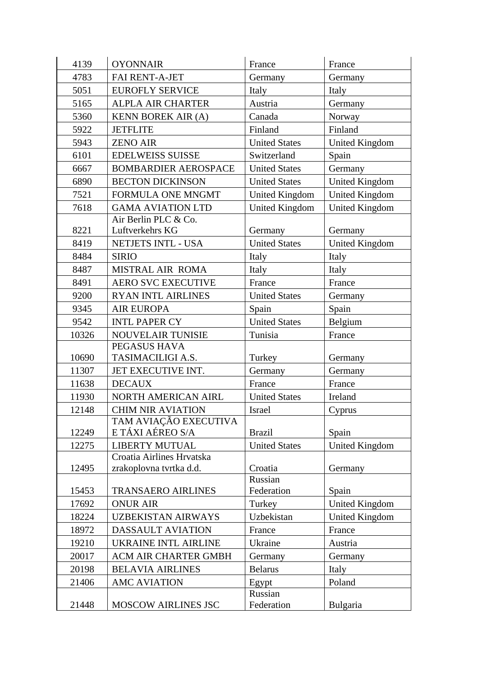| 4139  | <b>OYONNAIR</b>                                      | France                | France                |
|-------|------------------------------------------------------|-----------------------|-----------------------|
| 4783  | <b>FAI RENT-A-JET</b>                                | Germany               | Germany               |
| 5051  | <b>EUROFLY SERVICE</b>                               | Italy                 | Italy                 |
| 5165  | <b>ALPLA AIR CHARTER</b>                             | Austria               | Germany               |
| 5360  | <b>KENN BOREK AIR (A)</b>                            | Canada                | Norway                |
| 5922  | <b>JETFLITE</b>                                      | Finland               | Finland               |
| 5943  | <b>ZENO AIR</b>                                      | <b>United States</b>  | United Kingdom        |
| 6101  | <b>EDELWEISS SUISSE</b>                              | Switzerland           | Spain                 |
| 6667  | <b>BOMBARDIER AEROSPACE</b>                          | <b>United States</b>  | Germany               |
| 6890  | <b>BECTON DICKINSON</b>                              | <b>United States</b>  | <b>United Kingdom</b> |
| 7521  | FORMULA ONE MNGMT                                    | <b>United Kingdom</b> | <b>United Kingdom</b> |
| 7618  | <b>GAMA AVIATION LTD</b>                             | United Kingdom        | <b>United Kingdom</b> |
|       | Air Berlin PLC & Co.                                 |                       |                       |
| 8221  | Luftverkehrs KG                                      | Germany               | Germany               |
| 8419  | NETJETS INTL - USA                                   | <b>United States</b>  | <b>United Kingdom</b> |
| 8484  | <b>SIRIO</b>                                         | Italy                 | Italy                 |
| 8487  | MISTRAL AIR ROMA                                     | Italy                 | Italy                 |
| 8491  | <b>AERO SVC EXECUTIVE</b>                            | France                | France                |
| 9200  | <b>RYAN INTL AIRLINES</b>                            | <b>United States</b>  | Germany               |
| 9345  | <b>AIR EUROPA</b>                                    | Spain                 | Spain                 |
| 9542  | <b>INTL PAPER CY</b>                                 | <b>United States</b>  | Belgium               |
| 10326 | NOUVELAIR TUNISIE                                    | Tunisia               | France                |
|       | PEGASUS HAVA                                         |                       |                       |
| 10690 | TASIMACILIGI A.S.                                    | Turkey                | Germany               |
| 11307 | JET EXECUTIVE INT.                                   | Germany               | Germany               |
| 11638 | <b>DECAUX</b>                                        | France                | France                |
| 11930 | NORTH AMERICAN AIRL                                  | <b>United States</b>  | Ireland               |
| 12148 | <b>CHIM NIR AVIATION</b>                             | Israel                | Cyprus                |
|       | TAM AVIAÇAO EXECUTIVA                                |                       |                       |
| 12249 | E TÁXI AÉREO S/A                                     | <b>Brazil</b>         | Spain                 |
| 12275 | <b>LIBERTY MUTUAL</b>                                | <b>United States</b>  | United Kingdom        |
| 12495 | Croatia Airlines Hrvatska<br>zrakoplovna tvrtka d.d. | Croatia               | Germany               |
|       |                                                      | Russian               |                       |
| 15453 | <b>TRANSAERO AIRLINES</b>                            | Federation            | Spain                 |
| 17692 | <b>ONUR AIR</b>                                      | Turkey                | <b>United Kingdom</b> |
| 18224 | <b>UZBEKISTAN AIRWAYS</b>                            | Uzbekistan            | United Kingdom        |
| 18972 | <b>DASSAULT AVIATION</b>                             | France                | France                |
| 19210 | UKRAINE INTL AIRLINE                                 | Ukraine               | Austria               |
| 20017 | <b>ACM AIR CHARTER GMBH</b>                          | Germany               | Germany               |
| 20198 | <b>BELAVIA AIRLINES</b>                              | <b>Belarus</b>        | Italy                 |
| 21406 | <b>AMC AVIATION</b>                                  | Egypt                 | Poland                |
|       |                                                      | Russian               |                       |
| 21448 | MOSCOW AIRLINES JSC                                  | Federation            | Bulgaria              |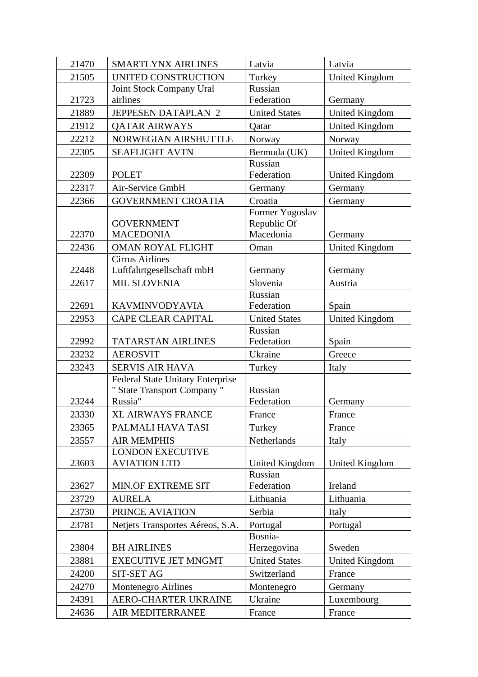| 21470 | <b>SMARTLYNX AIRLINES</b>                                                         | Latvia                                      | Latvia                |
|-------|-----------------------------------------------------------------------------------|---------------------------------------------|-----------------------|
| 21505 | UNITED CONSTRUCTION                                                               | Turkey                                      | <b>United Kingdom</b> |
|       | Joint Stock Company Ural                                                          | Russian                                     |                       |
| 21723 | airlines                                                                          | Federation                                  | Germany               |
| 21889 | JEPPESEN DATAPLAN 2                                                               | <b>United States</b>                        | <b>United Kingdom</b> |
| 21912 | <b>QATAR AIRWAYS</b>                                                              | Qatar                                       | <b>United Kingdom</b> |
| 22212 | NORWEGIAN AIRSHUTTLE                                                              | Norway                                      | Norway                |
| 22305 | <b>SEAFLIGHT AVTN</b>                                                             | Bermuda (UK)                                | <b>United Kingdom</b> |
| 22309 | <b>POLET</b>                                                                      | Russian<br>Federation                       | <b>United Kingdom</b> |
| 22317 | Air-Service GmbH                                                                  | Germany                                     | Germany               |
| 22366 | <b>GOVERNMENT CROATIA</b>                                                         | Croatia                                     | Germany               |
| 22370 | <b>GOVERNMENT</b><br><b>MACEDONIA</b>                                             | Former Yugoslav<br>Republic Of<br>Macedonia | Germany               |
| 22436 | <b>OMAN ROYAL FLIGHT</b>                                                          | Oman                                        | <b>United Kingdom</b> |
| 22448 | <b>Cirrus Airlines</b><br>Luftfahrtgesellschaft mbH                               | Germany                                     | Germany               |
| 22617 | <b>MIL SLOVENIA</b>                                                               | Slovenia                                    | Austria               |
|       |                                                                                   | Russian                                     |                       |
| 22691 | KAVMINVODYAVIA                                                                    | Federation                                  | Spain                 |
| 22953 | <b>CAPE CLEAR CAPITAL</b>                                                         | <b>United States</b>                        | <b>United Kingdom</b> |
|       |                                                                                   | Russian                                     |                       |
| 22992 | <b>TATARSTAN AIRLINES</b>                                                         | Federation                                  | Spain                 |
| 23232 | <b>AEROSVIT</b>                                                                   | Ukraine                                     | Greece                |
| 23243 | <b>SERVIS AIR HAVA</b>                                                            | Turkey                                      | Italy                 |
| 23244 | <b>Federal State Unitary Enterprise</b><br>" State Transport Company "<br>Russia" | Russian<br>Federation                       | Germany               |
|       |                                                                                   |                                             |                       |
| 23330 | <b>XL AIRWAYS FRANCE</b>                                                          | France                                      | France                |
| 23365 | PALMALI HAVA TASI                                                                 | Turkey                                      | France                |
| 23557 | <b>AIR MEMPHIS</b><br><b>LONDON EXECUTIVE</b>                                     | Netherlands                                 | Italy                 |
| 23603 | <b>AVIATION LTD</b>                                                               | United Kingdom                              | <b>United Kingdom</b> |
| 23627 | MIN.OF EXTREME SIT                                                                | Russian<br>Federation                       | Ireland               |
| 23729 | <b>AURELA</b>                                                                     | Lithuania                                   | Lithuania             |
| 23730 | PRINCE AVIATION                                                                   | Serbia                                      | Italy                 |
| 23781 | Netjets Transportes Aéreos, S.A.                                                  | Portugal                                    | Portugal              |
|       |                                                                                   | Bosnia-                                     |                       |
| 23804 | <b>BH AIRLINES</b>                                                                | Herzegovina                                 | Sweden                |
| 23881 | <b>EXECUTIVE JET MNGMT</b>                                                        | <b>United States</b>                        | United Kingdom        |
| 24200 | <b>SIT-SET AG</b>                                                                 | Switzerland                                 | France                |
| 24270 | Montenegro Airlines                                                               | Montenegro                                  | Germany               |
| 24391 | AERO-CHARTER UKRAINE                                                              | Ukraine                                     | Luxembourg            |
| 24636 | AIR MEDITERRANEE                                                                  | France                                      | France                |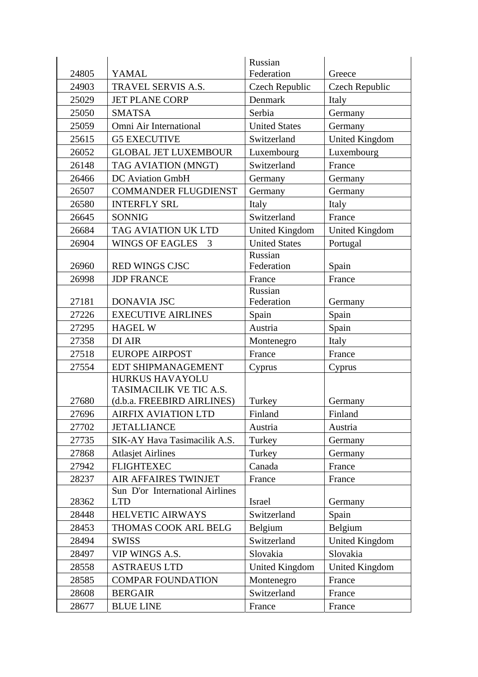|       |                                                   | Russian               |                       |
|-------|---------------------------------------------------|-----------------------|-----------------------|
| 24805 | <b>YAMAL</b>                                      | Federation            | Greece                |
| 24903 | TRAVEL SERVIS A.S.                                | Czech Republic        | Czech Republic        |
| 25029 | <b>JET PLANE CORP</b>                             | Denmark               | Italy                 |
| 25050 | <b>SMATSA</b>                                     | Serbia                | Germany               |
| 25059 | Omni Air International                            | <b>United States</b>  | Germany               |
| 25615 | <b>G5 EXECUTIVE</b>                               | Switzerland           | <b>United Kingdom</b> |
| 26052 | <b>GLOBAL JET LUXEMBOUR</b>                       | Luxembourg            | Luxembourg            |
| 26148 | TAG AVIATION (MNGT)                               | Switzerland           | France                |
| 26466 | <b>DC</b> Aviation GmbH                           | Germany               | Germany               |
| 26507 | <b>COMMANDER FLUGDIENST</b>                       | Germany               | Germany               |
| 26580 | <b>INTERFLY SRL</b>                               | Italy                 | Italy                 |
| 26645 | <b>SONNIG</b>                                     | Switzerland           | France                |
| 26684 | TAG AVIATION UK LTD                               | <b>United Kingdom</b> | <b>United Kingdom</b> |
| 26904 | <b>WINGS OF EAGLES</b><br>3                       | <b>United States</b>  | Portugal              |
|       |                                                   | Russian               |                       |
| 26960 | <b>RED WINGS CJSC</b>                             | Federation            | Spain                 |
| 26998 | <b>JDP FRANCE</b>                                 | France                | France                |
|       |                                                   | Russian               |                       |
| 27181 | DONAVIA JSC                                       | Federation            | Germany               |
| 27226 | <b>EXECUTIVE AIRLINES</b>                         | Spain                 | Spain                 |
| 27295 | <b>HAGEL W</b>                                    | Austria               | Spain                 |
| 27358 | DI AIR                                            | Montenegro            | Italy                 |
| 27518 | <b>EUROPE AIRPOST</b>                             | France                | France                |
| 27554 | EDT SHIPMANAGEMENT                                | Cyprus                | Cyprus                |
|       | <b>HURKUS HAVAYOLU</b><br>TASIMACILIK VE TIC A.S. |                       |                       |
| 27680 | (d.b.a. FREEBIRD AIRLINES)                        | Turkey                | Germany               |
| 27696 | <b>AIRFIX AVIATION LTD</b>                        | Finland               | Finland               |
| 27702 | <b>JETALLIANCE</b>                                | Austria               | Austria               |
| 27735 | SIK-AY Hava Tasimacilik A.S.                      | Turkey                | Germany               |
| 27868 | <b>Atlasjet Airlines</b>                          | Turkey                | Germany               |
| 27942 | <b>FLIGHTEXEC</b>                                 | Canada                | France                |
| 28237 | <b>AIR AFFAIRES TWINJET</b>                       | France                | France                |
|       | Sun D'or International Airlines                   |                       |                       |
| 28362 | <b>LTD</b>                                        | Israel                | Germany               |
| 28448 | <b>HELVETIC AIRWAYS</b>                           | Switzerland           | Spain                 |
| 28453 | THOMAS COOK ARL BELG                              | Belgium               | Belgium               |
| 28494 | <b>SWISS</b>                                      | Switzerland           | United Kingdom        |
| 28497 | VIP WINGS A.S.                                    | Slovakia              | Slovakia              |
| 28558 | <b>ASTRAEUS LTD</b>                               | United Kingdom        | United Kingdom        |
| 28585 | <b>COMPAR FOUNDATION</b>                          | Montenegro            | France                |
| 28608 | <b>BERGAIR</b>                                    | Switzerland           | France                |
| 28677 | <b>BLUE LINE</b>                                  | France                | France                |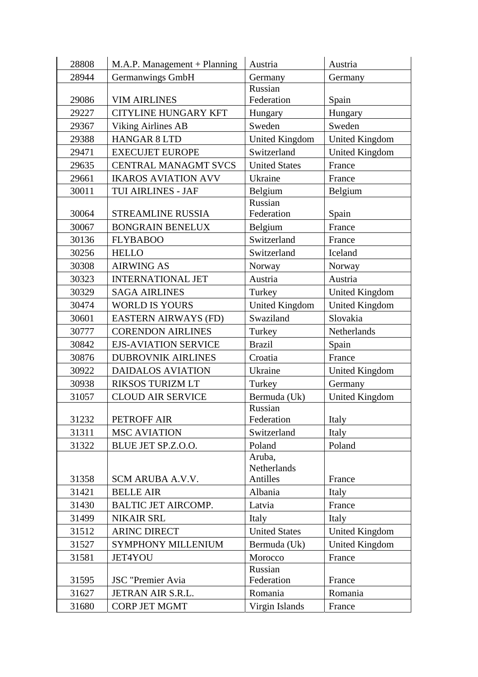| 28808 | M.A.P. Management + Planning | Austria               | Austria               |
|-------|------------------------------|-----------------------|-----------------------|
| 28944 | Germanwings GmbH             | Germany               | Germany               |
|       |                              | Russian               |                       |
| 29086 | <b>VIM AIRLINES</b>          | Federation            | Spain                 |
| 29227 | <b>CITYLINE HUNGARY KFT</b>  | Hungary               | Hungary               |
| 29367 | Viking Airlines AB           | Sweden                | Sweden                |
| 29388 | <b>HANGAR 8 LTD</b>          | United Kingdom        | <b>United Kingdom</b> |
| 29471 | <b>EXECUJET EUROPE</b>       | Switzerland           | <b>United Kingdom</b> |
| 29635 | <b>CENTRAL MANAGMT SVCS</b>  | <b>United States</b>  | France                |
| 29661 | <b>IKAROS AVIATION AVV</b>   | Ukraine               | France                |
| 30011 | TUI AIRLINES - JAF           | Belgium               | Belgium               |
|       |                              | Russian               |                       |
| 30064 | <b>STREAMLINE RUSSIA</b>     | Federation            | Spain                 |
| 30067 | <b>BONGRAIN BENELUX</b>      | Belgium               | France                |
| 30136 | <b>FLYBABOO</b>              | Switzerland           | France                |
| 30256 | <b>HELLO</b>                 | Switzerland           | Iceland               |
| 30308 | <b>AIRWING AS</b>            | Norway                | Norway                |
| 30323 | <b>INTERNATIONAL JET</b>     | Austria               | Austria               |
| 30329 | <b>SAGA AIRLINES</b>         | Turkey                | <b>United Kingdom</b> |
| 30474 | <b>WORLD IS YOURS</b>        | <b>United Kingdom</b> | <b>United Kingdom</b> |
| 30601 | <b>EASTERN AIRWAYS (FD)</b>  | Swaziland             | Slovakia              |
| 30777 | <b>CORENDON AIRLINES</b>     | Turkey                | Netherlands           |
| 30842 | <b>EJS-AVIATION SERVICE</b>  | <b>Brazil</b>         | Spain                 |
| 30876 | <b>DUBROVNIK AIRLINES</b>    | Croatia               | France                |
| 30922 | <b>DAIDALOS AVIATION</b>     | Ukraine               | <b>United Kingdom</b> |
| 30938 | RIKSOS TURIZM LT             | Turkey                | Germany               |
| 31057 | <b>CLOUD AIR SERVICE</b>     | Bermuda (Uk)          | <b>United Kingdom</b> |
|       |                              | Russian               |                       |
| 31232 | PETROFF AIR                  | Federation            | Italy                 |
| 31311 | <b>MSC AVIATION</b>          | Switzerland           | Italy                 |
| 31322 | BLUE JET SP.Z.O.O.           | Poland                | Poland                |
|       |                              | Aruba,                |                       |
|       |                              | Netherlands           |                       |
| 31358 | SCM ARUBA A.V.V.             | Antilles              | France                |
| 31421 | <b>BELLE AIR</b>             | Albania               | Italy                 |
| 31430 | <b>BALTIC JET AIRCOMP.</b>   | Latvia                | France                |
| 31499 | <b>NIKAIR SRL</b>            | Italy                 | Italy                 |
| 31512 | <b>ARINC DIRECT</b>          | <b>United States</b>  | United Kingdom        |
| 31527 | SYMPHONY MILLENIUM           | Bermuda (Uk)          | United Kingdom        |
| 31581 | <b>JET4YOU</b>               | Morocco               | France                |
|       |                              | Russian               |                       |
| 31595 | JSC "Premier Avia            | Federation            | France                |
| 31627 | JETRAN AIR S.R.L.            | Romania               | Romania               |
| 31680 | <b>CORP JET MGMT</b>         | Virgin Islands        | France                |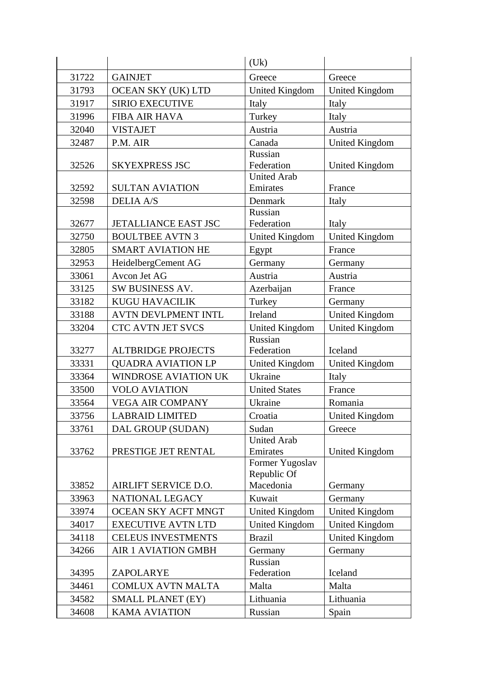|       |                                                   | (Uk)                             |                                 |
|-------|---------------------------------------------------|----------------------------------|---------------------------------|
| 31722 | <b>GAINJET</b>                                    | Greece                           | Greece                          |
| 31793 | OCEAN SKY (UK) LTD                                | <b>United Kingdom</b>            | <b>United Kingdom</b>           |
| 31917 | <b>SIRIO EXECUTIVE</b>                            | Italy                            | Italy                           |
| 31996 | <b>FIBA AIR HAVA</b>                              | Turkey                           | Italy                           |
| 32040 | <b>VISTAJET</b>                                   | Austria                          | Austria                         |
| 32487 | P.M. AIR                                          | Canada                           | <b>United Kingdom</b>           |
|       |                                                   | Russian                          |                                 |
| 32526 | <b>SKYEXPRESS JSC</b>                             | Federation                       | <b>United Kingdom</b>           |
|       |                                                   | <b>United Arab</b>               |                                 |
| 32592 | <b>SULTAN AVIATION</b>                            | Emirates                         | France                          |
| 32598 | <b>DELIA A/S</b>                                  | Denmark                          | Italy                           |
| 32677 | <b>JETALLIANCE EAST JSC</b>                       | Russian<br>Federation            | Italy                           |
| 32750 | <b>BOULTBEE AVTN 3</b>                            | <b>United Kingdom</b>            |                                 |
| 32805 | <b>SMART AVIATION HE</b>                          |                                  | <b>United Kingdom</b><br>France |
|       |                                                   | Egypt                            |                                 |
| 32953 | HeidelbergCement AG                               | Germany                          | Germany                         |
| 33061 | Avcon Jet AG                                      | Austria                          | Austria                         |
| 33125 | SW BUSINESS AV.                                   | Azerbaijan                       | France                          |
| 33182 | <b>KUGU HAVACILIK</b>                             | Turkey                           | Germany                         |
| 33188 | <b>AVTN DEVLPMENT INTL</b>                        | Ireland                          | <b>United Kingdom</b>           |
| 33204 | CTC AVTN JET SVCS                                 | <b>United Kingdom</b>            | <b>United Kingdom</b>           |
| 33277 | <b>ALTBRIDGE PROJECTS</b>                         | Russian<br>Federation            | Iceland                         |
| 33331 | <b>QUADRA AVIATION LP</b>                         |                                  | <b>United Kingdom</b>           |
| 33364 | <b>WINDROSE AVIATION UK</b>                       | <b>United Kingdom</b><br>Ukraine | Italy                           |
| 33500 | <b>VOLO AVIATION</b>                              | <b>United States</b>             | France                          |
| 33564 |                                                   | Ukraine                          | Romania                         |
| 33756 | <b>VEGA AIR COMPANY</b><br><b>LABRAID LIMITED</b> | Croatia                          |                                 |
|       |                                                   |                                  | <b>United Kingdom</b>           |
| 33761 | DAL GROUP (SUDAN)                                 | Sudan<br><b>United Arab</b>      | Greece                          |
| 33762 | PRESTIGE JET RENTAL                               | Emirates                         | United Kingdom                  |
|       |                                                   | Former Yugoslav                  |                                 |
|       |                                                   | Republic Of                      |                                 |
| 33852 | AIRLIFT SERVICE D.O.                              | Macedonia                        | Germany                         |
| 33963 | NATIONAL LEGACY                                   | Kuwait                           | Germany                         |
| 33974 | OCEAN SKY ACFT MNGT                               | United Kingdom                   | <b>United Kingdom</b>           |
| 34017 | <b>EXECUTIVE AVTN LTD</b>                         | <b>United Kingdom</b>            | <b>United Kingdom</b>           |
| 34118 | <b>CELEUS INVESTMENTS</b>                         | <b>Brazil</b>                    | <b>United Kingdom</b>           |
| 34266 | <b>AIR 1 AVIATION GMBH</b>                        | Germany                          | Germany                         |
|       |                                                   | Russian                          |                                 |
| 34395 | ZAPOLARYE                                         | Federation                       | Iceland                         |
| 34461 | <b>COMLUX AVTN MALTA</b>                          | Malta                            | Malta                           |
| 34582 | SMALL PLANET (EY)                                 | Lithuania                        | Lithuania                       |
| 34608 | <b>KAMA AVIATION</b>                              | Russian                          | Spain                           |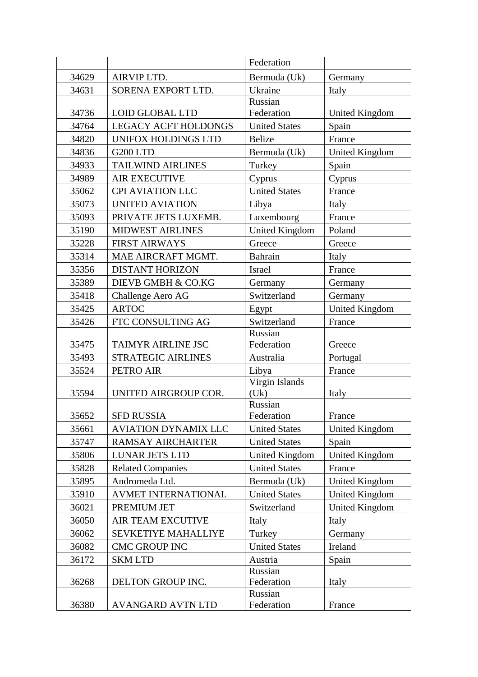|       |                             | Federation             |                       |
|-------|-----------------------------|------------------------|-----------------------|
| 34629 | AIRVIP LTD.                 | Bermuda (Uk)           | Germany               |
| 34631 | SORENA EXPORT LTD.          | Ukraine                | Italy                 |
|       |                             | Russian                |                       |
| 34736 | <b>LOID GLOBAL LTD</b>      | Federation             | United Kingdom        |
| 34764 | <b>LEGACY ACFT HOLDONGS</b> | <b>United States</b>   | Spain                 |
| 34820 | UNIFOX HOLDINGS LTD         | <b>Belize</b>          | France                |
| 34836 | G200 LTD                    | Bermuda (Uk)           | <b>United Kingdom</b> |
| 34933 | <b>TAILWIND AIRLINES</b>    | Turkey                 | Spain                 |
| 34989 | <b>AIR EXECUTIVE</b>        | Cyprus                 | Cyprus                |
| 35062 | <b>CPI AVIATION LLC</b>     | <b>United States</b>   | France                |
| 35073 | <b>UNITED AVIATION</b>      | Libya                  | Italy                 |
| 35093 | PRIVATE JETS LUXEMB.        | Luxembourg             | France                |
| 35190 | <b>MIDWEST AIRLINES</b>     | <b>United Kingdom</b>  | Poland                |
| 35228 | <b>FIRST AIRWAYS</b>        | Greece                 | Greece                |
| 35314 | MAE AIRCRAFT MGMT.          | <b>Bahrain</b>         | Italy                 |
| 35356 | <b>DISTANT HORIZON</b>      | Israel                 | France                |
| 35389 | DIEVB GMBH & CO.KG          | Germany                | Germany               |
| 35418 | Challenge Aero AG           | Switzerland            | Germany               |
| 35425 | <b>ARTOC</b>                | Egypt                  | <b>United Kingdom</b> |
| 35426 | FTC CONSULTING AG           | Switzerland            | France                |
|       |                             | Russian                |                       |
| 35475 | TAIMYR AIRLINE JSC          | Federation             | Greece                |
| 35493 | STRATEGIC AIRLINES          | Australia              | Portugal              |
| 35524 | PETRO AIR                   | Libya                  | France                |
| 35594 | UNITED AIRGROUP COR.        | Virgin Islands<br>(Uk) | Italy                 |
|       |                             | Russian                |                       |
| 35652 | <b>SFD RUSSIA</b>           | Federation             | France                |
| 35661 | <b>AVIATION DYNAMIX LLC</b> | <b>United States</b>   | United Kingdom        |
| 35747 | <b>RAMSAY AIRCHARTER</b>    | <b>United States</b>   | Spain                 |
| 35806 | LUNAR JETS LTD              | <b>United Kingdom</b>  | <b>United Kingdom</b> |
| 35828 | <b>Related Companies</b>    | <b>United States</b>   | France                |
| 35895 | Andromeda Ltd.              | Bermuda (Uk)           | <b>United Kingdom</b> |
| 35910 | AVMET INTERNATIONAL         | <b>United States</b>   | <b>United Kingdom</b> |
| 36021 | PREMIUM JET                 | Switzerland            | <b>United Kingdom</b> |
| 36050 | <b>AIR TEAM EXCUTIVE</b>    | Italy                  | Italy                 |
| 36062 | <b>SEVKETIYE MAHALLIYE</b>  | Turkey                 | Germany               |
| 36082 | <b>CMC GROUP INC</b>        | <b>United States</b>   | Ireland               |
| 36172 | <b>SKMLTD</b>               | Austria                | Spain                 |
|       |                             | Russian                |                       |
| 36268 | DELTON GROUP INC.           | Federation             | Italy                 |
|       |                             | Russian                |                       |
| 36380 | AVANGARD AVTN LTD           | Federation             | France                |